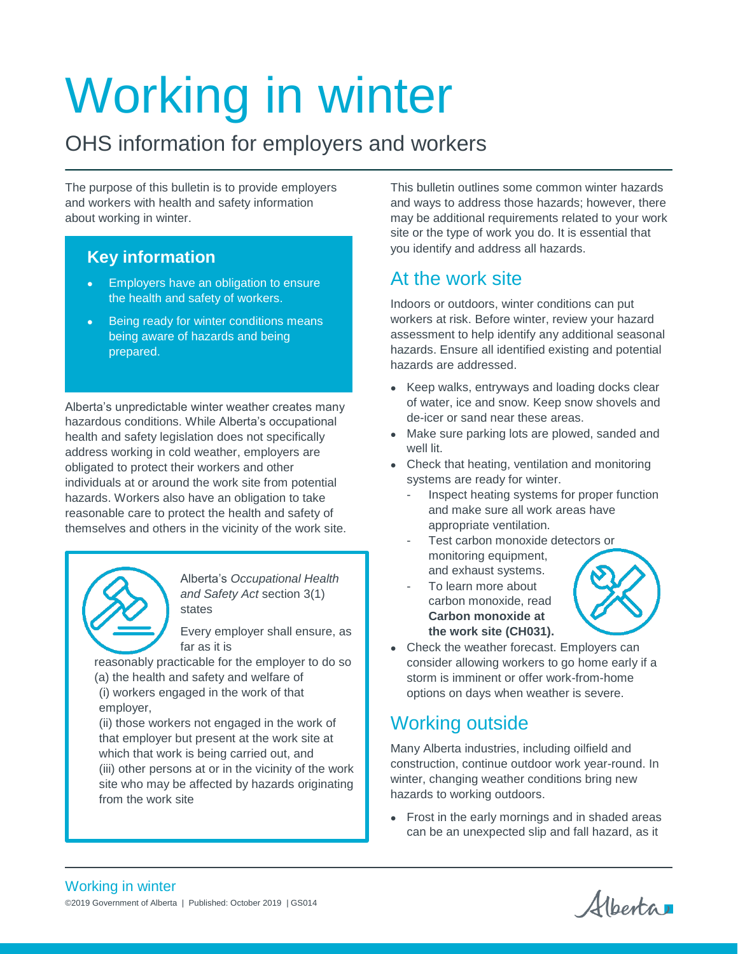# Working in winter

# OHS information for employers and workers

The purpose of this bulletin is to provide employers and workers with health and safety information about working in winter.

## **Key information**

- Employers have an obligation to ensure the health and safety of workers.
- Being ready for winter conditions means being aware of hazards and being prepared.

Alberta's unpredictable winter weather creates many hazardous conditions. While Alberta's occupational health and safety legislation does not specifically address working in cold weather, employers are obligated to protect their workers and other individuals at or around the work site from potential hazards. Workers also have an obligation to take reasonable care to protect the health and safety of themselves and others in the vicinity of the work site.



Alberta's *Occupational Health and Safety Act* section 3(1) states

Every employer shall ensure, as far as it is

reasonably practicable for the employer to do so

(a) the health and safety and welfare of (i) workers engaged in the work of that employer,

(ii) those workers not engaged in the work of that employer but present at the work site at which that work is being carried out, and (iii) other persons at or in the vicinity of the work site who may be affected by hazards originating from the work site

This bulletin outlines some common winter hazards and ways to address those hazards; however, there may be additional requirements related to your work site or the type of work you do. It is essential that you identify and address all hazards.

# At the work site

Indoors or outdoors, winter conditions can put workers at risk. Before winter, review your hazard assessment to help identify any additional seasonal hazards. Ensure all identified existing and potential hazards are addressed.

- Keep walks, entryways and loading docks clear of water, ice and snow. Keep snow shovels and de-icer or sand near these areas.
- Make sure parking lots are plowed, sanded and well lit.
- Check that heating, ventilation and monitoring systems are ready for winter.
	- Inspect heating systems for proper function and make sure all work areas have appropriate ventilation.
	- Test carbon monoxide detectors or monitoring equipment, and exhaust systems.
	- To learn more about carbon monoxide, read **Carbon monoxide at the work site (CH031).**



 Check the weather forecast. Employers can consider allowing workers to go home early if a storm is imminent or offer work-from-home options on days when weather is severe.

# Working outside

Many Alberta industries, including oilfield and construction, continue outdoor work year-round. In winter, changing weather conditions bring new hazards to working outdoors.

• Frost in the early mornings and in shaded areas can be an unexpected slip and fall hazard, as it

Alberta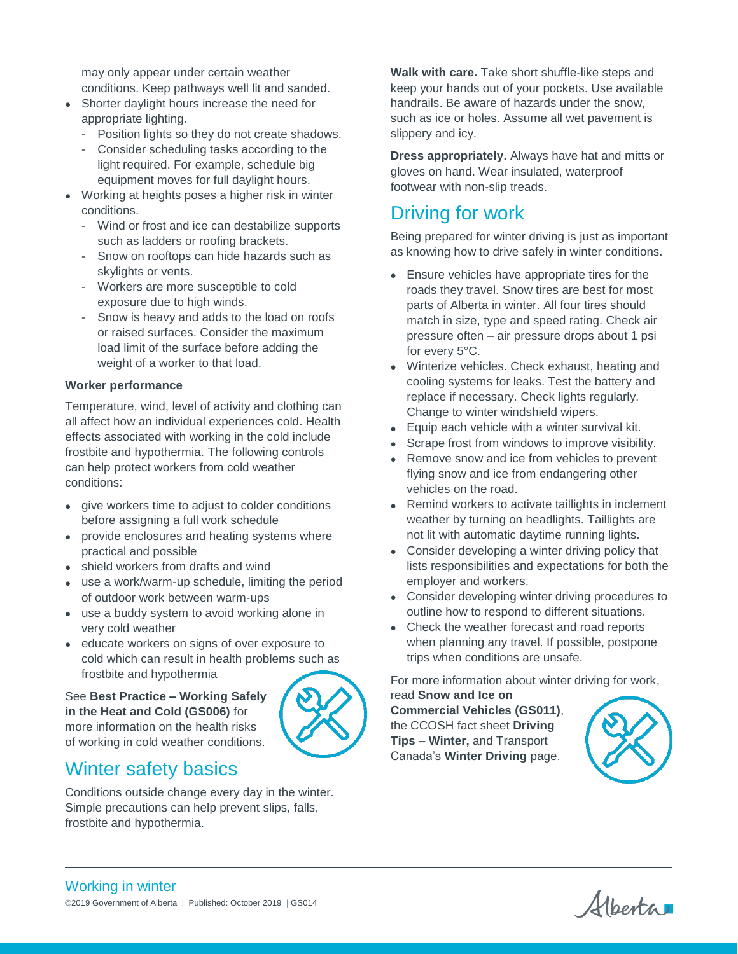may only appear under certain weather conditions. Keep pathways well lit and sanded.

- Shorter daylight hours increase the need for appropriate lighting.
	- Position lights so they do not create shadows.
	- Consider scheduling tasks according to the light required. For example, schedule big equipment moves for full daylight hours.
- Working at heights poses a higher risk in winter conditions.
	- Wind or frost and ice can destabilize supports such as ladders or roofing brackets.
	- Snow on rooftops can hide hazards such as skylights or vents.
	- Workers are more susceptible to cold exposure due to high winds.
	- Snow is heavy and adds to the load on roofs or raised surfaces. Consider the maximum load limit of the surface before adding the weight of a worker to that load.

#### **Worker performance**

Temperature, wind, level of activity and clothing can all affect how an individual experiences cold. Health effects associated with working in the cold include frostbite and hypothermia. The following controls can help protect workers from cold weather conditions:

- give workers time to adjust to colder conditions before assigning a full work schedule
- provide enclosures and heating systems where practical and possible
- shield workers from drafts and wind
- use a work/warm-up schedule, limiting the period of outdoor work between warm-ups
- use a buddy system to avoid working alone in very cold weather
- educate workers on signs of over exposure to cold which can result in health problems such as frostbite and hypothermia

See **Best Practice – Working Safely in the Heat and Cold (GS006)** for more information on the health risks of working in cold weather conditions.



#### Winter safety basics

Conditions outside change every day in the winter. Simple precautions can help prevent slips, falls, frostbite and hypothermia.

**Walk with care.** Take short shuffle-like steps and keep your hands out of your pockets. Use available handrails. Be aware of hazards under the snow, such as ice or holes. Assume all wet pavement is slippery and icy.

**Dress appropriately.** Always have hat and mitts or gloves on hand. Wear insulated, waterproof footwear with non-slip treads.

## Driving for work

Being prepared for winter driving is just as important as knowing how to drive safely in winter conditions.

- Ensure vehicles have appropriate tires for the roads they travel. Snow tires are best for most parts of Alberta in winter. All four tires should match in size, type and speed rating. Check air pressure often – air pressure drops about 1 psi for every 5°C.
- Winterize vehicles. Check exhaust, heating and cooling systems for leaks. Test the battery and replace if necessary. Check lights regularly. Change to winter windshield wipers.
- Equip each vehicle with a winter survival kit.
- Scrape frost from windows to improve visibility.
- Remove snow and ice from vehicles to prevent flying snow and ice from endangering other vehicles on the road.
- Remind workers to activate taillights in inclement weather by turning on headlights. Taillights are not lit with automatic daytime running lights.
- Consider developing a winter driving policy that lists responsibilities and expectations for both the employer and workers.
- Consider developing winter driving procedures to outline how to respond to different situations.
- Check the weather forecast and road reports when planning any travel. If possible, postpone trips when conditions are unsafe.

For more information about winter driving for work,

read **Snow and Ice on Commercial Vehicles (GS011)**, the CCOSH fact sheet **Driving Tips – Winter,** and Transport Canada's **Winter Driving** page.



Alberta